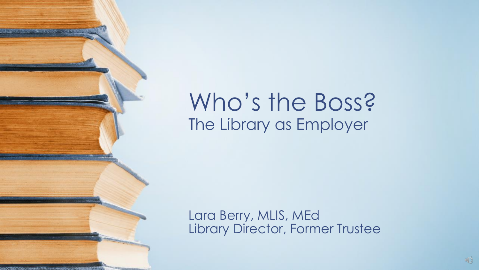#### Who's the Boss? The Library as Employer

Lara Berry, MLIS, MEd Library Director, Former Trustee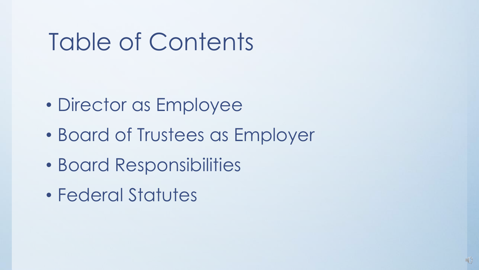# Table of Contents

- Director as Employee
- Board of Trustees as Employer
- Board Responsibilities
- Federal Statutes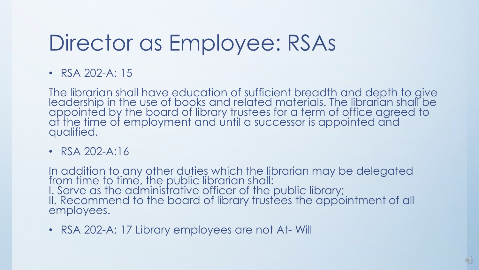### Director as Employee: RSAs

• RSA 202-A: 15

The librarian shall have education of sufficient breadth and depth to give leadership in the use of books and related materials. The librarian shall be appointed by the board of library trustees for a term of office agreed to at the time of employment and until a successor is appointed and qualified.

• RSA 202-A:16

In addition to any other duties which the librarian may be delegated from time to time, the public librarian shall: I. Serve as the administrative officer of the public library; II. Recommend to the board of library trustees the appointment of all employees.

• RSA 202-A: 17 Library employees are not At- Will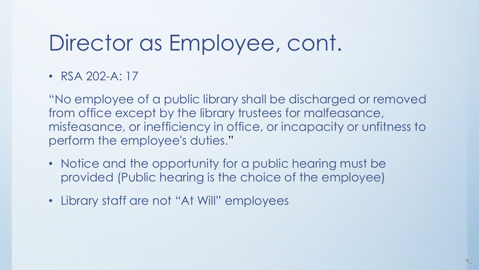#### Director as Employee, cont.

• RSA 202-A: 17

"No employee of a public library shall be discharged or removed from office except by the library trustees for malfeasance, misfeasance, or inefficiency in office, or incapacity or unfitness to perform the employee's duties."

- Notice and the opportunity for a public hearing must be provided (Public hearing is the choice of the employee)
- Library staff are not "At Will" employees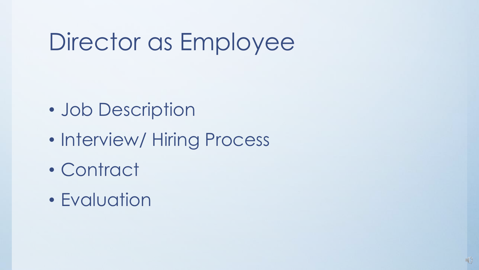# Director as Employee

- Job Description
- Interview/ Hiring Process
- Contract
- Evaluation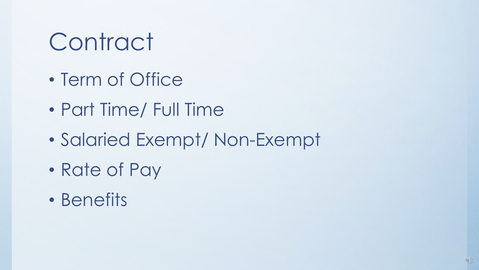# **Contract**

- Term of Office
- Part Time/ Full Time
- Salaried Exempt/ Non-Exempt
- Rate of Pay
- Benefits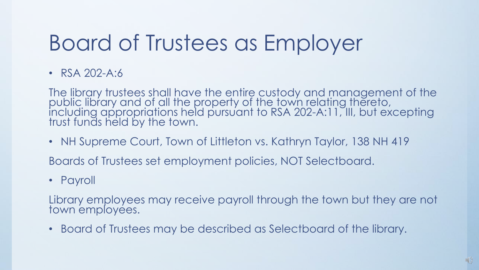## Board of Trustees as Employer

• RSA 202-A:6

The library trustees shall have the entire custody and management of the public library and of all the property of the town relating thereto, including appropriations held pursuant to RSA 202-A:11, III, but excepting trust funds held by the town.

• NH Supreme Court, Town of Littleton vs. Kathryn Taylor, 138 NH 419

Boards of Trustees set employment policies, NOT Selectboard.

• Payroll

Library employees may receive payroll through the town but they are not town employees.

• Board of Trustees may be described as Selectboard of the library.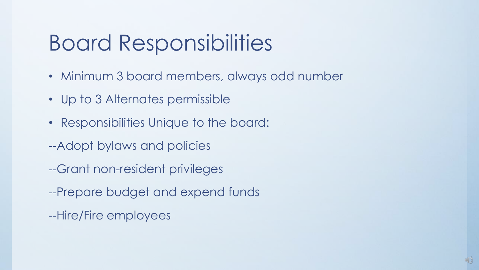### Board Responsibilities

- Minimum 3 board members, always odd number
- Up to 3 Alternates permissible
- Responsibilities Unique to the board:
- --Adopt bylaws and policies
- --Grant non-resident privileges
- --Prepare budget and expend funds
- --Hire/Fire employees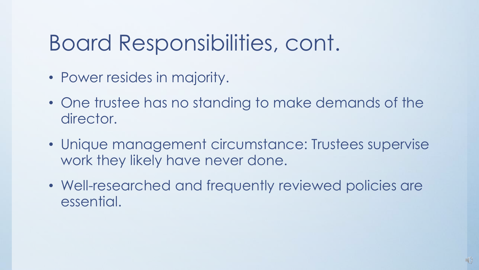### Board Responsibilities, cont.

- Power resides in majority.
- One trustee has no standing to make demands of the director.
- Unique management circumstance: Trustees supervise work they likely have never done.
- Well-researched and frequently reviewed policies are essential.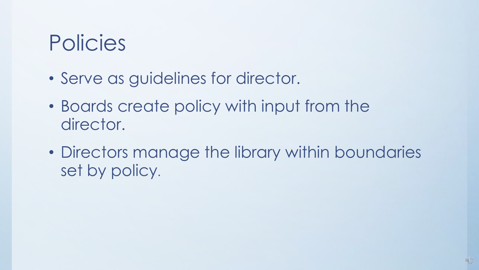### Policies

- Serve as guidelines for director.
- Boards create policy with input from the director.
- Directors manage the library within boundaries set by policy.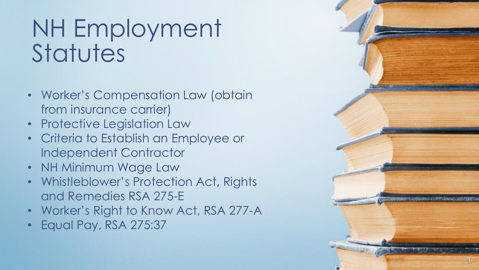# NH Employment **Statutes**

- Worker's Compensation Law (obtain from insurance carrier)
- Protective Legislation Law
- Criteria to Establish an Employee or Independent Contractor
- NH Minimum Wage Law
- Whistleblower's Protection Act, Rights and Remedies RSA 275-E
- Worker's Right to Know Act, RSA 277-A
- Equal Pay, RSA 275:37

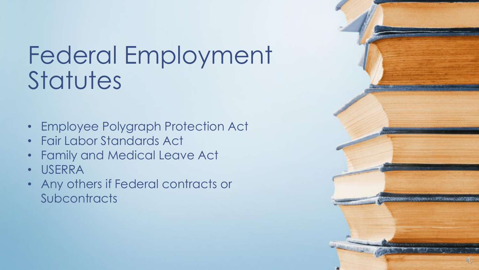# Federal Employment **Statutes**

- Employee Polygraph Protection Act
- Fair Labor Standards Act
- Family and Medical Leave Act
- USERRA
- Any others if Federal contracts or **Subcontracts**